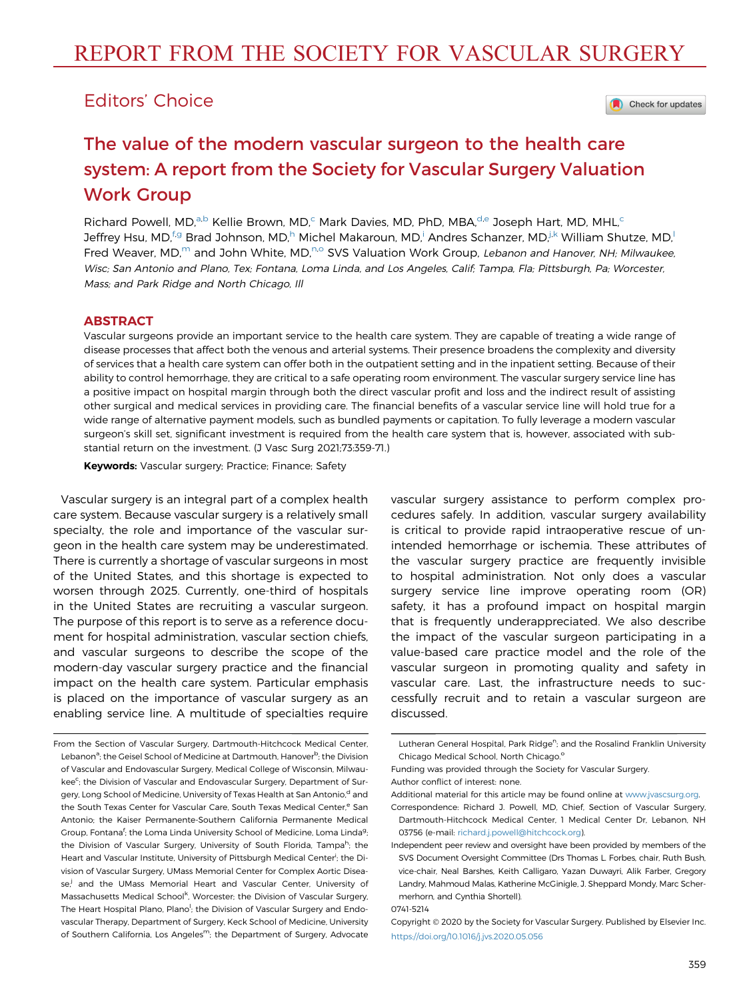# Editors' Choice

Check for updates

# The value of the modern vascular surgeon to the health care system: A report from the Society for Vascular Surgery Valuation Work Group

Richard Powell, MD,<sup>a,b</sup> Kellie Brown, MD,<sup>c</sup> Mark Davies, MD, PhD, MBA,<sup>d,e</sup> Joseph Hart, MD, MHL,<sup>c</sup> Jeffrey Hsu, MD,<sup>f.g</sup> Brad Johnson, MD,<sup>h</sup> Michel Makaroun, MD,<sup>i</sup> Andres Schanzer, MD,<sup>j.k</sup> William Shutze, MD,<sup>l</sup> Fred Weaver, MD,<sup>m</sup> and John White, MD,<sup>n,o</sup> SVS Valuation Work Group, Lebanon and Hanover, NH; Milwaukee, Wisc; San Antonio and Plano, Tex; Fontana, Loma Linda, and Los Angeles, Calif; Tampa, Fla; Pittsburgh, Pa; Worcester, Mass; and Park Ridge and North Chicago, Ill

## ABSTRACT

Vascular surgeons provide an important service to the health care system. They are capable of treating a wide range of disease processes that affect both the venous and arterial systems. Their presence broadens the complexity and diversity of services that a health care system can offer both in the outpatient setting and in the inpatient setting. Because of their ability to control hemorrhage, they are critical to a safe operating room environment. The vascular surgery service line has a positive impact on hospital margin through both the direct vascular profit and loss and the indirect result of assisting other surgical and medical services in providing care. The financial benefits of a vascular service line will hold true for a wide range of alternative payment models, such as bundled payments or capitation. To fully leverage a modern vascular surgeon's skill set, significant investment is required from the health care system that is, however, associated with substantial return on the investment. (J Vasc Surg 2021;73:359-71.)

Keywords: Vascular surgery; Practice; Finance; Safety

Vascular surgery is an integral part of a complex health care system. Because vascular surgery is a relatively small specialty, the role and importance of the vascular surgeon in the health care system may be underestimated. There is currently a shortage of vascular surgeons in most of the United States, and this shortage is expected to worsen through 2025. Currently, one-third of hospitals in the United States are recruiting a vascular surgeon. The purpose of this report is to serve as a reference document for hospital administration, vascular section chiefs, and vascular surgeons to describe the scope of the modern-day vascular surgery practice and the financial impact on the health care system. Particular emphasis is placed on the importance of vascular surgery as an enabling service line. A multitude of specialties require

vascular surgery assistance to perform complex procedures safely. In addition, vascular surgery availability is critical to provide rapid intraoperative rescue of unintended hemorrhage or ischemia. These attributes of the vascular surgery practice are frequently invisible to hospital administration. Not only does a vascular surgery service line improve operating room (OR) safety, it has a profound impact on hospital margin that is frequently underappreciated. We also describe the impact of the vascular surgeon participating in a value-based care practice model and the role of the vascular surgeon in promoting quality and safety in vascular care. Last, the infrastructure needs to successfully recruit and to retain a vascular surgeon are discussed.

0741-5214

From the Section of Vascular Surgery, Dartmouth-Hitchcock Medical Center, Lebanon<sup>a</sup>; the Geisel School of Medicine at Dartmouth, Hanover<sup>b</sup>; the Division of Vascular and Endovascular Surgery, Medical College of Wisconsin, Milwaukee<sup>c</sup>; the Division of Vascular and Endovascular Surgery, Department of Surgery, Long School of Medicine, University of Texas Health at San Antonio,<sup>d</sup> and the South Texas Center for Vascular Care, South Texas Medical Center,<sup>e</sup> San Antonio; the Kaiser Permanente-Southern California Permanente Medical Group, Fontana<sup>f</sup>; the Loma Linda University School of Medicine, Loma Linda<sup>g</sup> the Division of Vascular Surgery, University of South Florida, Tampa<sup>h</sup>; the Heart and Vascular Institute, University of Pittsburgh Medical Center<sup>i</sup>; the Division of Vascular Surgery, UMass Memorial Center for Complex Aortic Disease,<sup>j</sup> and the UMass Memorial Heart and Vascular Center, University of Massachusetts Medical School<sup>k</sup>, Worcester; the Division of Vascular Surgery, The Heart Hospital Plano, Plano<sup>l</sup>; the Division of Vascular Surgery and Endovascular Therapy, Department of Surgery, Keck School of Medicine, University of Southern California, Los Angeles<sup>m</sup>; the Department of Surgery, Advocate

Lutheran General Hospital, Park Ridge<sup>n</sup>; and the Rosalind Franklin University Chicago Medical School, North Chicago.<sup>o</sup>

Funding was provided through the Society for Vascular Surgery. Author conflict of interest: none.

Additional material for this article may be found online at [www.jvascsurg.org](http://www.jvascsurg.org).

Correspondence: Richard J. Powell, MD, Chief, Section of Vascular Surgery, Dartmouth-Hitchcock Medical Center, 1 Medical Center Dr, Lebanon, NH 03756 (e-mail: [richard.j.powell@hitchcock.org](mailto:richard.j.powell@hitchcock.org)).

Independent peer review and oversight have been provided by members of the SVS Document Oversight Committee (Drs Thomas L. Forbes, chair, Ruth Bush, vice-chair, Neal Barshes, Keith Calligaro, Yazan Duwayri, Alik Farber, Gregory Landry, Mahmoud Malas, Katherine McGinigle, J. Sheppard Mondy, Marc Schermerhorn, and Cynthia Shortell).

Copyright 2020 by the Society for Vascular Surgery. Published by Elsevier Inc. <https://doi.org/10.1016/j.jvs.2020.05.056>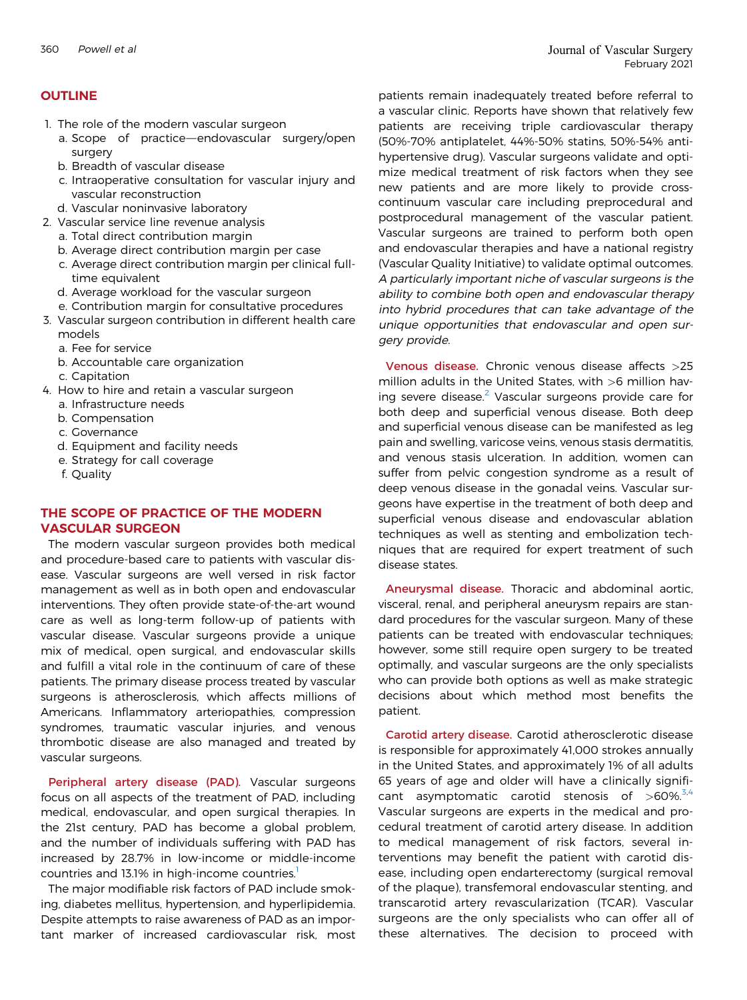# **OUTLINE**

- 1. The role of the modern vascular surgeon
	- a. Scope of practice-endovascular surgery/open surgery
	- b. Breadth of vascular disease
	- c. Intraoperative consultation for vascular injury and vascular reconstruction
- d. Vascular noninvasive laboratory
- 2. Vascular service line revenue analysis
	- a. Total direct contribution margin
	- b. Average direct contribution margin per case
	- c. Average direct contribution margin per clinical fulltime equivalent
	- d. Average workload for the vascular surgeon
	- e. Contribution margin for consultative procedures
- 3. Vascular surgeon contribution in different health care models
	- a. Fee for service
	- b. Accountable care organization
	- c. Capitation
- 4. How to hire and retain a vascular surgeon
	- a. Infrastructure needs
	- b. Compensation
	- c. Governance
	- d. Equipment and facility needs
	- e. Strategy for call coverage
	- f. Quality

# THE SCOPE OF PRACTICE OF THE MODERN VASCULAR SURGEON

The modern vascular surgeon provides both medical and procedure-based care to patients with vascular disease. Vascular surgeons are well versed in risk factor management as well as in both open and endovascular interventions. They often provide state-of-the-art wound care as well as long-term follow-up of patients with vascular disease. Vascular surgeons provide a unique mix of medical, open surgical, and endovascular skills and fulfill a vital role in the continuum of care of these patients. The primary disease process treated by vascular surgeons is atherosclerosis, which affects millions of Americans. Inflammatory arteriopathies, compression syndromes, traumatic vascular injuries, and venous thrombotic disease are also managed and treated by vascular surgeons.

Peripheral artery disease (PAD). Vascular surgeons focus on all aspects of the treatment of PAD, including medical, endovascular, and open surgical therapies. In the 21st century, PAD has become a global problem, and the number of individuals suffering with PAD has increased by 28.7% in low-income or middle-income countries and [1](#page-12-0)3.1% in high-income countries.<sup>1</sup>

The major modifiable risk factors of PAD include smoking, diabetes mellitus, hypertension, and hyperlipidemia. Despite attempts to raise awareness of PAD as an important marker of increased cardiovascular risk, most patients remain inadequately treated before referral to a vascular clinic. Reports have shown that relatively few patients are receiving triple cardiovascular therapy (50%-70% antiplatelet, 44%-50% statins, 50%-54% antihypertensive drug). Vascular surgeons validate and optimize medical treatment of risk factors when they see new patients and are more likely to provide crosscontinuum vascular care including preprocedural and postprocedural management of the vascular patient. Vascular surgeons are trained to perform both open and endovascular therapies and have a national registry (Vascular Quality Initiative) to validate optimal outcomes. A particularly important niche of vascular surgeons is the ability to combine both open and endovascular therapy into hybrid procedures that can take advantage of the unique opportunities that endovascular and open surgery provide.

Venous disease. Chronic venous disease affects >25 million adults in the United States, with  $>6$  million having severe disease. $2$  Vascular surgeons provide care for both deep and superficial venous disease. Both deep and superficial venous disease can be manifested as leg pain and swelling, varicose veins, venous stasis dermatitis, and venous stasis ulceration. In addition, women can suffer from pelvic congestion syndrome as a result of deep venous disease in the gonadal veins. Vascular surgeons have expertise in the treatment of both deep and superficial venous disease and endovascular ablation techniques as well as stenting and embolization techniques that are required for expert treatment of such disease states.

Aneurysmal disease. Thoracic and abdominal aortic, visceral, renal, and peripheral aneurysm repairs are standard procedures for the vascular surgeon. Many of these patients can be treated with endovascular techniques; however, some still require open surgery to be treated optimally, and vascular surgeons are the only specialists who can provide both options as well as make strategic decisions about which method most benefits the patient.

Carotid artery disease. Carotid atherosclerotic disease is responsible for approximately 41,000 strokes annually in the United States, and approximately 1% of all adults 65 years of age and older will have a clinically significant asymptomatic carotid stenosis of  $>60\%$ .<sup>5,[4](#page-12-3)</sup> Vascular surgeons are experts in the medical and procedural treatment of carotid artery disease. In addition to medical management of risk factors, several interventions may benefit the patient with carotid disease, including open endarterectomy (surgical removal of the plaque), transfemoral endovascular stenting, and transcarotid artery revascularization (TCAR). Vascular surgeons are the only specialists who can offer all of these alternatives. The decision to proceed with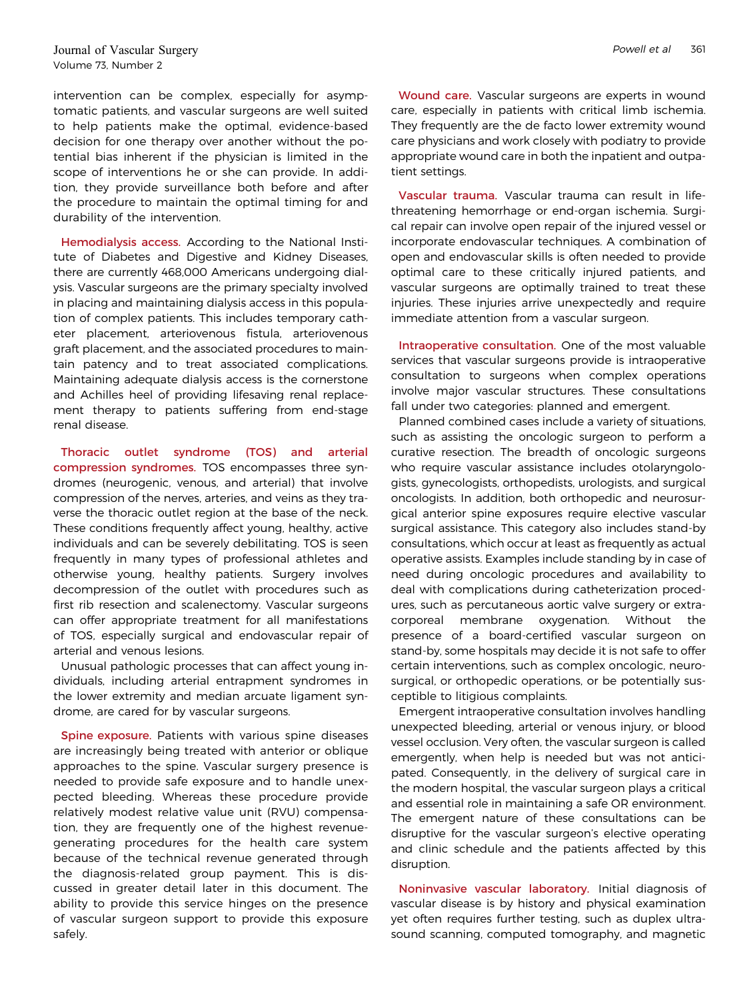intervention can be complex, especially for asymptomatic patients, and vascular surgeons are well suited to help patients make the optimal, evidence-based decision for one therapy over another without the potential bias inherent if the physician is limited in the scope of interventions he or she can provide. In addition, they provide surveillance both before and after the procedure to maintain the optimal timing for and durability of the intervention.

Hemodialysis access. According to the National Institute of Diabetes and Digestive and Kidney Diseases, there are currently 468,000 Americans undergoing dialysis. Vascular surgeons are the primary specialty involved in placing and maintaining dialysis access in this population of complex patients. This includes temporary catheter placement, arteriovenous fistula, arteriovenous graft placement, and the associated procedures to maintain patency and to treat associated complications. Maintaining adequate dialysis access is the cornerstone and Achilles heel of providing lifesaving renal replacement therapy to patients suffering from end-stage renal disease.

Thoracic outlet syndrome (TOS) and arterial compression syndromes. TOS encompasses three syndromes (neurogenic, venous, and arterial) that involve compression of the nerves, arteries, and veins as they traverse the thoracic outlet region at the base of the neck. These conditions frequently affect young, healthy, active individuals and can be severely debilitating. TOS is seen frequently in many types of professional athletes and otherwise young, healthy patients. Surgery involves decompression of the outlet with procedures such as first rib resection and scalenectomy. Vascular surgeons can offer appropriate treatment for all manifestations of TOS, especially surgical and endovascular repair of arterial and venous lesions.

Unusual pathologic processes that can affect young individuals, including arterial entrapment syndromes in the lower extremity and median arcuate ligament syndrome, are cared for by vascular surgeons.

Spine exposure. Patients with various spine diseases are increasingly being treated with anterior or oblique approaches to the spine. Vascular surgery presence is needed to provide safe exposure and to handle unexpected bleeding. Whereas these procedure provide relatively modest relative value unit (RVU) compensation, they are frequently one of the highest revenuegenerating procedures for the health care system because of the technical revenue generated through the diagnosis-related group payment. This is discussed in greater detail later in this document. The ability to provide this service hinges on the presence of vascular surgeon support to provide this exposure safely.

Wound care. Vascular surgeons are experts in wound care, especially in patients with critical limb ischemia. They frequently are the de facto lower extremity wound care physicians and work closely with podiatry to provide appropriate wound care in both the inpatient and outpatient settings.

Vascular trauma. Vascular trauma can result in lifethreatening hemorrhage or end-organ ischemia. Surgical repair can involve open repair of the injured vessel or incorporate endovascular techniques. A combination of open and endovascular skills is often needed to provide optimal care to these critically injured patients, and vascular surgeons are optimally trained to treat these injuries. These injuries arrive unexpectedly and require immediate attention from a vascular surgeon.

Intraoperative consultation. One of the most valuable services that vascular surgeons provide is intraoperative consultation to surgeons when complex operations involve major vascular structures. These consultations fall under two categories: planned and emergent.

Planned combined cases include a variety of situations, such as assisting the oncologic surgeon to perform a curative resection. The breadth of oncologic surgeons who require vascular assistance includes otolaryngologists, gynecologists, orthopedists, urologists, and surgical oncologists. In addition, both orthopedic and neurosurgical anterior spine exposures require elective vascular surgical assistance. This category also includes stand-by consultations, which occur at least as frequently as actual operative assists. Examples include standing by in case of need during oncologic procedures and availability to deal with complications during catheterization procedures, such as percutaneous aortic valve surgery or extracorporeal membrane oxygenation. Without the presence of a board-certified vascular surgeon on stand-by, some hospitals may decide it is not safe to offer certain interventions, such as complex oncologic, neurosurgical, or orthopedic operations, or be potentially susceptible to litigious complaints.

Emergent intraoperative consultation involves handling unexpected bleeding, arterial or venous injury, or blood vessel occlusion. Very often, the vascular surgeon is called emergently, when help is needed but was not anticipated. Consequently, in the delivery of surgical care in the modern hospital, the vascular surgeon plays a critical and essential role in maintaining a safe OR environment. The emergent nature of these consultations can be disruptive for the vascular surgeon's elective operating and clinic schedule and the patients affected by this disruption.

Noninvasive vascular laboratory. Initial diagnosis of vascular disease is by history and physical examination yet often requires further testing, such as duplex ultrasound scanning, computed tomography, and magnetic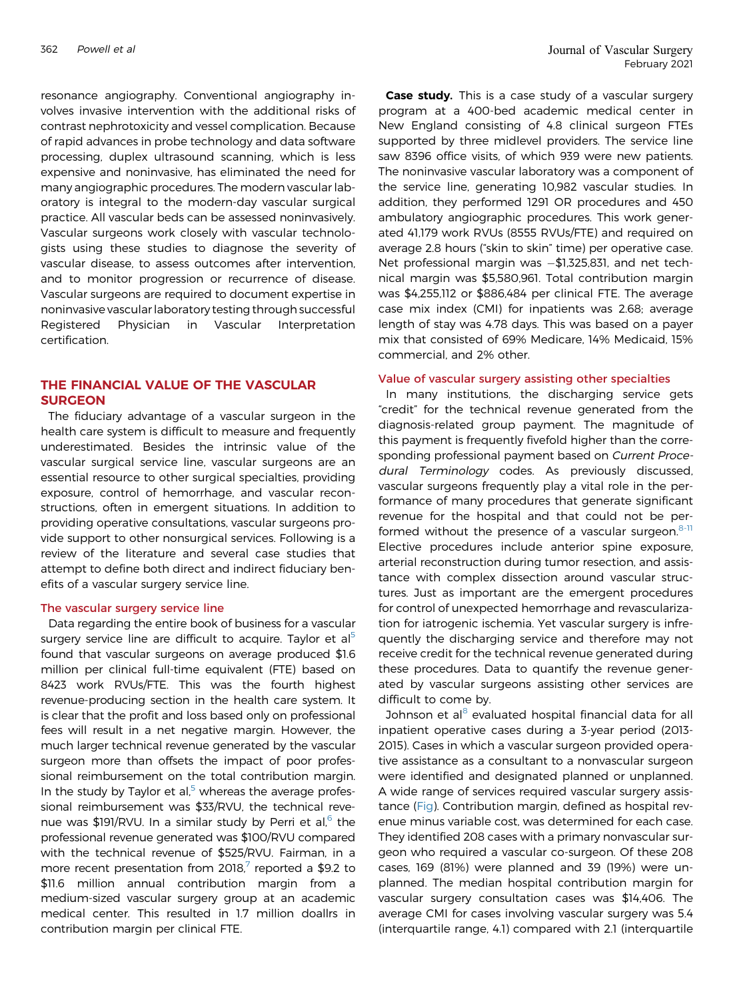<sup>362</sup> Powell et al Journal of Vascular Surgery February 2021

resonance angiography. Conventional angiography involves invasive intervention with the additional risks of contrast nephrotoxicity and vessel complication. Because of rapid advances in probe technology and data software processing, duplex ultrasound scanning, which is less expensive and noninvasive, has eliminated the need for many angiographic procedures. The modern vascular laboratory is integral to the modern-day vascular surgical practice. All vascular beds can be assessed noninvasively. Vascular surgeons work closely with vascular technologists using these studies to diagnose the severity of vascular disease, to assess outcomes after intervention, and to monitor progression or recurrence of disease. Vascular surgeons are required to document expertise in noninvasive vascular laboratory testing through successful Registered Physician in Vascular Interpretation certification.

# THE FINANCIAL VALUE OF THE VASCULAR SURGEON

The fiduciary advantage of a vascular surgeon in the health care system is difficult to measure and frequently underestimated. Besides the intrinsic value of the vascular surgical service line, vascular surgeons are an essential resource to other surgical specialties, providing exposure, control of hemorrhage, and vascular reconstructions, often in emergent situations. In addition to providing operative consultations, vascular surgeons provide support to other nonsurgical services. Following is a review of the literature and several case studies that attempt to define both direct and indirect fiduciary benefits of a vascular surgery service line.

#### The vascular surgery service line

Data regarding the entire book of business for a vascular surgery service line are difficult to acquire. Taylor et al<sup>[5](#page-12-4)</sup> found that vascular surgeons on average produced \$1.6 million per clinical full-time equivalent (FTE) based on 8423 work RVUs/FTE. This was the fourth highest revenue-producing section in the health care system. It is clear that the profit and loss based only on professional fees will result in a net negative margin. However, the much larger technical revenue generated by the vascular surgeon more than offsets the impact of poor professional reimbursement on the total contribution margin. In the study by Taylor et al, $5$  whereas the average professional reimbursement was \$33/RVU, the technical revenue was \$191/RVU. In a similar study by Perri et al, $^{\circ}$  the professional revenue generated was \$100/RVU compared with the technical revenue of \$525/RVU. Fairman, in a more recent presentation from 2018, $^7$  reported a \$9.2 to \$11.6 million annual contribution margin from a medium-sized vascular surgery group at an academic medical center. This resulted in 1.7 million doallrs in contribution margin per clinical FTE.

Case study. This is a case study of a vascular surgery program at a 400-bed academic medical center in New England consisting of 4.8 clinical surgeon FTEs supported by three midlevel providers. The service line saw 8396 office visits, of which 939 were new patients. The noninvasive vascular laboratory was a component of the service line, generating 10,982 vascular studies. In addition, they performed 1291 OR procedures and 450 ambulatory angiographic procedures. This work generated 41,179 work RVUs (8555 RVUs/FTE) and required on average 2.8 hours ("skin to skin" time) per operative case. Net professional margin was  $-\$1,325,831$ , and net technical margin was \$5,580,961. Total contribution margin was \$4,255,112 or \$886,484 per clinical FTE. The average case mix index (CMI) for inpatients was 2.68; average length of stay was 4.78 days. This was based on a payer mix that consisted of 69% Medicare, 14% Medicaid, 15% commercial, and 2% other.

#### Value of vascular surgery assisting other specialties

In many institutions, the discharging service gets "credit" for the technical revenue generated from the diagnosis-related group payment. The magnitude of this payment is frequently fivefold higher than the corresponding professional payment based on Current Procedural Terminology codes. As previously discussed, vascular surgeons frequently play a vital role in the performance of many procedures that generate significant revenue for the hospital and that could not be performed without the presence of a vascular surgeon. $8-11$ Elective procedures include anterior spine exposure, arterial reconstruction during tumor resection, and assistance with complex dissection around vascular structures. Just as important are the emergent procedures for control of unexpected hemorrhage and revascularization for iatrogenic ischemia. Yet vascular surgery is infrequently the discharging service and therefore may not receive credit for the technical revenue generated during these procedures. Data to quantify the revenue generated by vascular surgeons assisting other services are difficult to come by.

Johnson et al<sup>[8](#page-12-7)</sup> evaluated hospital financial data for all inpatient operative cases during a 3-year period (2013- 2015). Cases in which a vascular surgeon provided operative assistance as a consultant to a nonvascular surgeon were identified and designated planned or unplanned. A wide range of services required vascular surgery assistance [\(Fig](#page-4-0)). Contribution margin, defined as hospital revenue minus variable cost, was determined for each case. They identified 208 cases with a primary nonvascular surgeon who required a vascular co-surgeon. Of these 208 cases, 169 (81%) were planned and 39 (19%) were unplanned. The median hospital contribution margin for vascular surgery consultation cases was \$14,406. The average CMI for cases involving vascular surgery was 5.4 (interquartile range, 4.1) compared with 2.1 (interquartile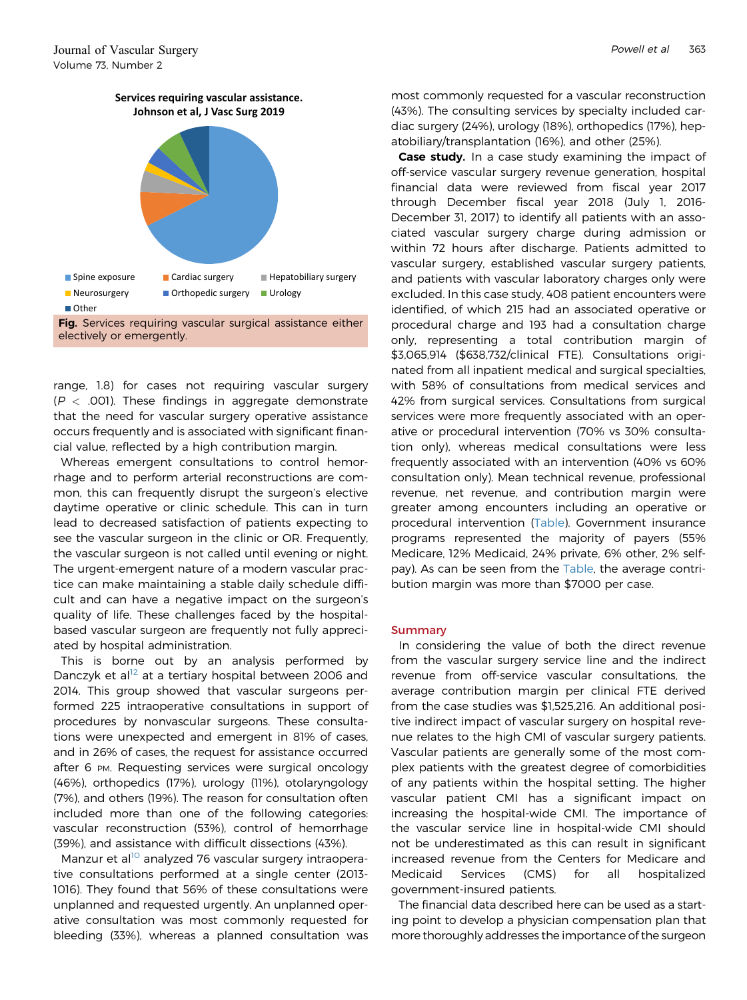<span id="page-4-0"></span>

range, 1.8) for cases not requiring vascular surgery  $(P < .001)$ . These findings in aggregate demonstrate that the need for vascular surgery operative assistance occurs frequently and is associated with significant financial value, reflected by a high contribution margin.

Whereas emergent consultations to control hemorrhage and to perform arterial reconstructions are common, this can frequently disrupt the surgeon's elective daytime operative or clinic schedule. This can in turn lead to decreased satisfaction of patients expecting to see the vascular surgeon in the clinic or OR. Frequently, the vascular surgeon is not called until evening or night. The urgent-emergent nature of a modern vascular practice can make maintaining a stable daily schedule difficult and can have a negative impact on the surgeon's quality of life. These challenges faced by the hospitalbased vascular surgeon are frequently not fully appreciated by hospital administration.

This is borne out by an analysis performed by Danczyk et al<sup>[12](#page-12-8)</sup> at a tertiary hospital between 2006 and 2014. This group showed that vascular surgeons performed 225 intraoperative consultations in support of procedures by nonvascular surgeons. These consultations were unexpected and emergent in 81% of cases, and in 26% of cases, the request for assistance occurred after 6 PM. Requesting services were surgical oncology (46%), orthopedics (17%), urology (11%), otolaryngology (7%), and others (19%). The reason for consultation often included more than one of the following categories: vascular reconstruction (53%), control of hemorrhage (39%), and assistance with difficult dissections (43%).

Manzur et al<sup>[10](#page-12-9)</sup> analyzed 76 vascular surgery intraoperative consultations performed at a single center (2013- 1016). They found that 56% of these consultations were unplanned and requested urgently. An unplanned operative consultation was most commonly requested for bleeding (33%), whereas a planned consultation was

most commonly requested for a vascular reconstruction (43%). The consulting services by specialty included cardiac surgery (24%), urology (18%), orthopedics (17%), hepatobiliary/transplantation (16%), and other (25%).

**Case study.** In a case study examining the impact of off-service vascular surgery revenue generation, hospital financial data were reviewed from fiscal year 2017 through December fiscal year 2018 (July 1, 2016- December 31, 2017) to identify all patients with an associated vascular surgery charge during admission or within 72 hours after discharge. Patients admitted to vascular surgery, established vascular surgery patients, and patients with vascular laboratory charges only were excluded. In this case study, 408 patient encounters were identified, of which 215 had an associated operative or procedural charge and 193 had a consultation charge only, representing a total contribution margin of \$3,065,914 (\$638,732/clinical FTE). Consultations originated from all inpatient medical and surgical specialties, with 58% of consultations from medical services and 42% from surgical services. Consultations from surgical services were more frequently associated with an operative or procedural intervention (70% vs 30% consultation only), whereas medical consultations were less frequently associated with an intervention (40% vs 60% consultation only). Mean technical revenue, professional revenue, net revenue, and contribution margin were greater among encounters including an operative or procedural intervention [\(Table](#page-5-0)). Government insurance programs represented the majority of payers (55% Medicare, 12% Medicaid, 24% private, 6% other, 2% selfpay). As can be seen from the [Table,](#page-5-0) the average contribution margin was more than \$7000 per case.

## Summary

In considering the value of both the direct revenue from the vascular surgery service line and the indirect revenue from off-service vascular consultations, the average contribution margin per clinical FTE derived from the case studies was \$1,525,216. An additional positive indirect impact of vascular surgery on hospital revenue relates to the high CMI of vascular surgery patients. Vascular patients are generally some of the most complex patients with the greatest degree of comorbidities of any patients within the hospital setting. The higher vascular patient CMI has a significant impact on increasing the hospital-wide CMI. The importance of the vascular service line in hospital-wide CMI should not be underestimated as this can result in significant increased revenue from the Centers for Medicare and Medicaid Services (CMS) for all hospitalized government-insured patients.

The financial data described here can be used as a starting point to develop a physician compensation plan that more thoroughly addresses the importance of the surgeon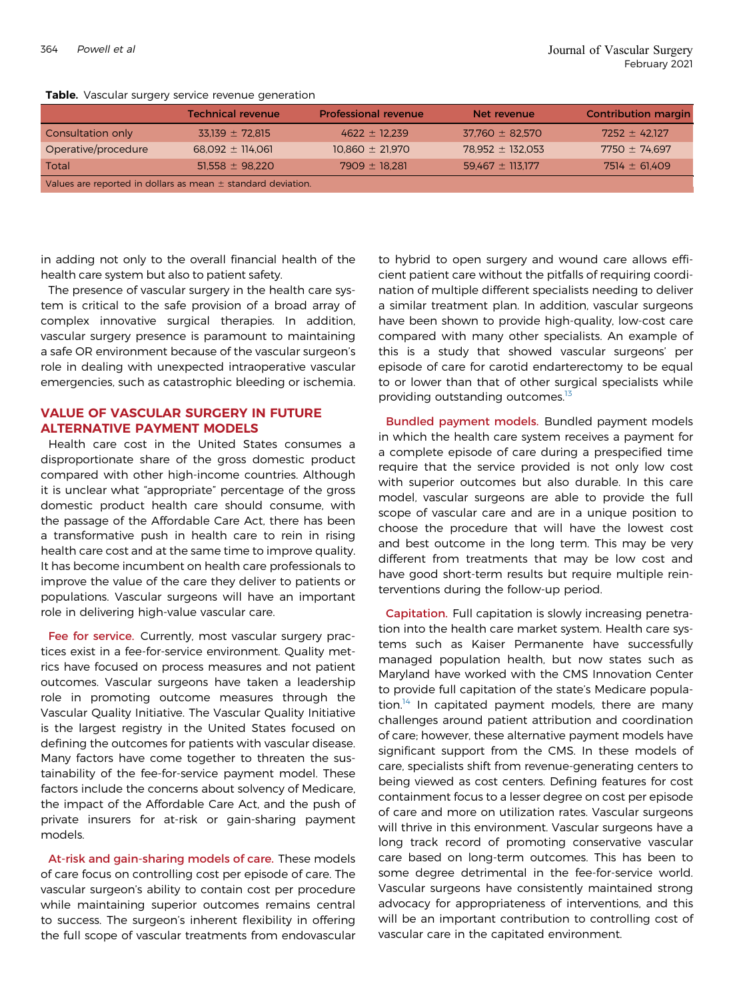<span id="page-5-0"></span>

|  |  | Table. Vascular surgery service revenue generation |
|--|--|----------------------------------------------------|
|  |  |                                                    |

|                                                                  | <b>Technical revenue</b> | <b>Professional revenue</b> | Net revenue          | <b>Contribution margin</b> |  |
|------------------------------------------------------------------|--------------------------|-----------------------------|----------------------|----------------------------|--|
| Consultation only                                                | $33.139 \pm 72.815$      | $4622 \pm 12.239$           | $37.760 \pm 82.570$  | $7252 \pm 42.127$          |  |
| Operative/procedure                                              | $68.092 \pm 114.061$     | $10.860 \pm 21.970$         | $78.952 \pm 132.053$ | $7750 \pm 74.697$          |  |
| Total                                                            | $51.558 \pm 98.220$      | $7909 \pm 18.281$           | $59.467 \pm 113.177$ | $7514 \pm 61.409$          |  |
| Values are reported in dollars as mean $\pm$ standard deviation. |                          |                             |                      |                            |  |

in adding not only to the overall financial health of the health care system but also to patient safety.

The presence of vascular surgery in the health care system is critical to the safe provision of a broad array of complex innovative surgical therapies. In addition, vascular surgery presence is paramount to maintaining a safe OR environment because of the vascular surgeon's role in dealing with unexpected intraoperative vascular emergencies, such as catastrophic bleeding or ischemia.

# VALUE OF VASCULAR SURGERY IN FUTURE ALTERNATIVE PAYMENT MODELS

Health care cost in the United States consumes a disproportionate share of the gross domestic product compared with other high-income countries. Although it is unclear what "appropriate" percentage of the gross domestic product health care should consume, with the passage of the Affordable Care Act, there has been a transformative push in health care to rein in rising health care cost and at the same time to improve quality. It has become incumbent on health care professionals to improve the value of the care they deliver to patients or populations. Vascular surgeons will have an important role in delivering high-value vascular care.

Fee for service. Currently, most vascular surgery practices exist in a fee-for-service environment. Quality metrics have focused on process measures and not patient outcomes. Vascular surgeons have taken a leadership role in promoting outcome measures through the Vascular Quality Initiative. The Vascular Quality Initiative is the largest registry in the United States focused on defining the outcomes for patients with vascular disease. Many factors have come together to threaten the sustainability of the fee-for-service payment model. These factors include the concerns about solvency of Medicare, the impact of the Affordable Care Act, and the push of private insurers for at-risk or gain-sharing payment models.

At-risk and gain-sharing models of care. These models of care focus on controlling cost per episode of care. The vascular surgeon's ability to contain cost per procedure while maintaining superior outcomes remains central to success. The surgeon's inherent flexibility in offering the full scope of vascular treatments from endovascular

to hybrid to open surgery and wound care allows efficient patient care without the pitfalls of requiring coordination of multiple different specialists needing to deliver a similar treatment plan. In addition, vascular surgeons have been shown to provide high-quality, low-cost care compared with many other specialists. An example of this is a study that showed vascular surgeons' per episode of care for carotid endarterectomy to be equal to or lower than that of other surgical specialists while providing outstanding outcomes.<sup>13</sup>

Bundled payment models. Bundled payment models in which the health care system receives a payment for a complete episode of care during a prespecified time require that the service provided is not only low cost with superior outcomes but also durable. In this care model, vascular surgeons are able to provide the full scope of vascular care and are in a unique position to choose the procedure that will have the lowest cost and best outcome in the long term. This may be very different from treatments that may be low cost and have good short-term results but require multiple reinterventions during the follow-up period.

Capitation. Full capitation is slowly increasing penetration into the health care market system. Health care systems such as Kaiser Permanente have successfully managed population health, but now states such as Maryland have worked with the CMS Innovation Center to provide full capitation of the state's Medicare popula-tion.<sup>[14](#page-12-11)</sup> In capitated payment models, there are many challenges around patient attribution and coordination of care; however, these alternative payment models have significant support from the CMS. In these models of care, specialists shift from revenue-generating centers to being viewed as cost centers. Defining features for cost containment focus to a lesser degree on cost per episode of care and more on utilization rates. Vascular surgeons will thrive in this environment. Vascular surgeons have a long track record of promoting conservative vascular care based on long-term outcomes. This has been to some degree detrimental in the fee-for-service world. Vascular surgeons have consistently maintained strong advocacy for appropriateness of interventions, and this will be an important contribution to controlling cost of vascular care in the capitated environment.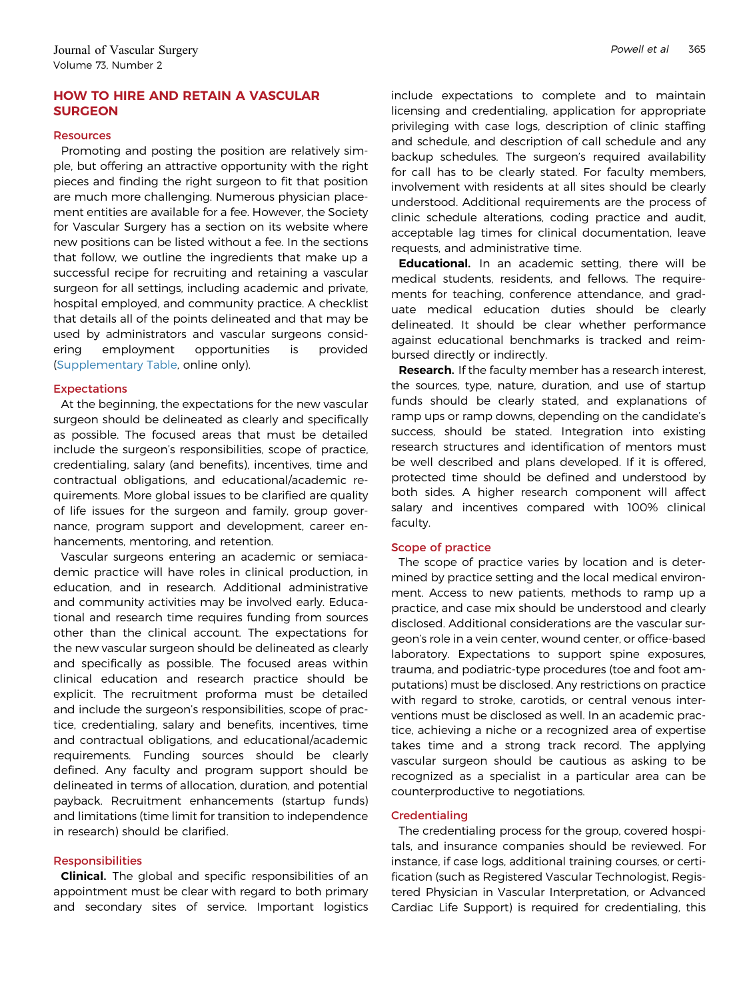# HOW TO HIRE AND RETAIN A VASCULAR **SURGEON**

## **Resources**

Promoting and posting the position are relatively simple, but offering an attractive opportunity with the right pieces and finding the right surgeon to fit that position are much more challenging. Numerous physician placement entities are available for a fee. However, the Society for Vascular Surgery has a section on its website where new positions can be listed without a fee. In the sections that follow, we outline the ingredients that make up a successful recipe for recruiting and retaining a vascular surgeon for all settings, including academic and private, hospital employed, and community practice. A checklist that details all of the points delineated and that may be used by administrators and vascular surgeons considering employment opportunities is provided ([Supplementary Table,](#page-13-0) online only).

# Expectations

At the beginning, the expectations for the new vascular surgeon should be delineated as clearly and specifically as possible. The focused areas that must be detailed include the surgeon's responsibilities, scope of practice, credentialing, salary (and benefits), incentives, time and contractual obligations, and educational/academic requirements. More global issues to be clarified are quality of life issues for the surgeon and family, group governance, program support and development, career enhancements, mentoring, and retention.

Vascular surgeons entering an academic or semiacademic practice will have roles in clinical production, in education, and in research. Additional administrative and community activities may be involved early. Educational and research time requires funding from sources other than the clinical account. The expectations for the new vascular surgeon should be delineated as clearly and specifically as possible. The focused areas within clinical education and research practice should be explicit. The recruitment proforma must be detailed and include the surgeon's responsibilities, scope of practice, credentialing, salary and benefits, incentives, time and contractual obligations, and educational/academic requirements. Funding sources should be clearly defined. Any faculty and program support should be delineated in terms of allocation, duration, and potential payback. Recruitment enhancements (startup funds) and limitations (time limit for transition to independence in research) should be clarified.

# **Responsibilities**

**Clinical.** The global and specific responsibilities of an appointment must be clear with regard to both primary and secondary sites of service. Important logistics include expectations to complete and to maintain licensing and credentialing, application for appropriate privileging with case logs, description of clinic staffing and schedule, and description of call schedule and any backup schedules. The surgeon's required availability for call has to be clearly stated. For faculty members, involvement with residents at all sites should be clearly understood. Additional requirements are the process of clinic schedule alterations, coding practice and audit, acceptable lag times for clinical documentation, leave requests, and administrative time.

Educational. In an academic setting, there will be medical students, residents, and fellows. The requirements for teaching, conference attendance, and graduate medical education duties should be clearly delineated. It should be clear whether performance against educational benchmarks is tracked and reimbursed directly or indirectly.

Research. If the faculty member has a research interest, the sources, type, nature, duration, and use of startup funds should be clearly stated, and explanations of ramp ups or ramp downs, depending on the candidate's success, should be stated. Integration into existing research structures and identification of mentors must be well described and plans developed. If it is offered, protected time should be defined and understood by both sides. A higher research component will affect salary and incentives compared with 100% clinical faculty.

# Scope of practice

The scope of practice varies by location and is determined by practice setting and the local medical environment. Access to new patients, methods to ramp up a practice, and case mix should be understood and clearly disclosed. Additional considerations are the vascular surgeon's role in a vein center, wound center, or office-based laboratory. Expectations to support spine exposures, trauma, and podiatric-type procedures (toe and foot amputations) must be disclosed. Any restrictions on practice with regard to stroke, carotids, or central venous interventions must be disclosed as well. In an academic practice, achieving a niche or a recognized area of expertise takes time and a strong track record. The applying vascular surgeon should be cautious as asking to be recognized as a specialist in a particular area can be counterproductive to negotiations.

# **Credentialing**

The credentialing process for the group, covered hospitals, and insurance companies should be reviewed. For instance, if case logs, additional training courses, or certification (such as Registered Vascular Technologist, Registered Physician in Vascular Interpretation, or Advanced Cardiac Life Support) is required for credentialing, this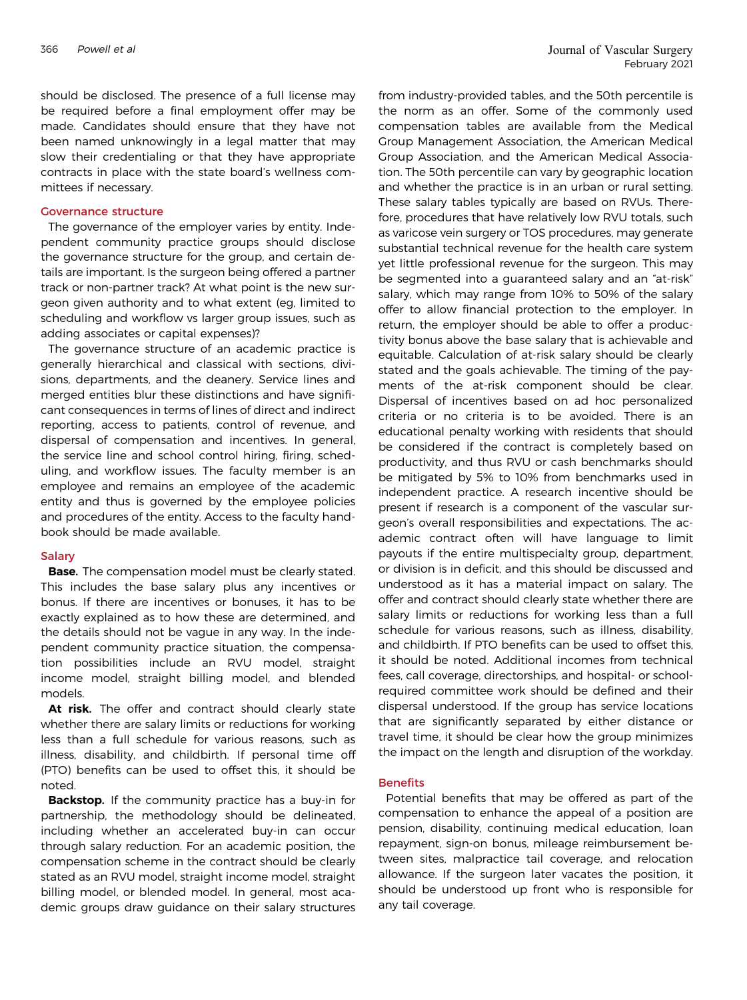should be disclosed. The presence of a full license may be required before a final employment offer may be made. Candidates should ensure that they have not been named unknowingly in a legal matter that may slow their credentialing or that they have appropriate contracts in place with the state board's wellness committees if necessary.

#### Governance structure

The governance of the employer varies by entity. Independent community practice groups should disclose the governance structure for the group, and certain details are important. Is the surgeon being offered a partner track or non-partner track? At what point is the new surgeon given authority and to what extent (eg, limited to scheduling and workflow vs larger group issues, such as adding associates or capital expenses)?

The governance structure of an academic practice is generally hierarchical and classical with sections, divisions, departments, and the deanery. Service lines and merged entities blur these distinctions and have significant consequences in terms of lines of direct and indirect reporting, access to patients, control of revenue, and dispersal of compensation and incentives. In general, the service line and school control hiring, firing, scheduling, and workflow issues. The faculty member is an employee and remains an employee of the academic entity and thus is governed by the employee policies and procedures of the entity. Access to the faculty handbook should be made available.

#### Salary

**Base.** The compensation model must be clearly stated. This includes the base salary plus any incentives or bonus. If there are incentives or bonuses, it has to be exactly explained as to how these are determined, and the details should not be vague in any way. In the independent community practice situation, the compensation possibilities include an RVU model, straight income model, straight billing model, and blended models.

At risk. The offer and contract should clearly state whether there are salary limits or reductions for working less than a full schedule for various reasons, such as illness, disability, and childbirth. If personal time off (PTO) benefits can be used to offset this, it should be noted.

**Backstop.** If the community practice has a buy-in for partnership, the methodology should be delineated, including whether an accelerated buy-in can occur through salary reduction. For an academic position, the compensation scheme in the contract should be clearly stated as an RVU model, straight income model, straight billing model, or blended model. In general, most academic groups draw guidance on their salary structures

from industry-provided tables, and the 50th percentile is the norm as an offer. Some of the commonly used compensation tables are available from the Medical Group Management Association, the American Medical Group Association, and the American Medical Association. The 50th percentile can vary by geographic location and whether the practice is in an urban or rural setting. These salary tables typically are based on RVUs. Therefore, procedures that have relatively low RVU totals, such as varicose vein surgery or TOS procedures, may generate substantial technical revenue for the health care system yet little professional revenue for the surgeon. This may be segmented into a guaranteed salary and an "at-risk" salary, which may range from 10% to 50% of the salary offer to allow financial protection to the employer. In return, the employer should be able to offer a productivity bonus above the base salary that is achievable and equitable. Calculation of at-risk salary should be clearly stated and the goals achievable. The timing of the payments of the at-risk component should be clear. Dispersal of incentives based on ad hoc personalized criteria or no criteria is to be avoided. There is an educational penalty working with residents that should be considered if the contract is completely based on productivity, and thus RVU or cash benchmarks should be mitigated by 5% to 10% from benchmarks used in independent practice. A research incentive should be present if research is a component of the vascular surgeon's overall responsibilities and expectations. The academic contract often will have language to limit payouts if the entire multispecialty group, department, or division is in deficit, and this should be discussed and understood as it has a material impact on salary. The offer and contract should clearly state whether there are salary limits or reductions for working less than a full schedule for various reasons, such as illness, disability, and childbirth. If PTO benefits can be used to offset this, it should be noted. Additional incomes from technical fees, call coverage, directorships, and hospital- or schoolrequired committee work should be defined and their dispersal understood. If the group has service locations that are significantly separated by either distance or travel time, it should be clear how the group minimizes the impact on the length and disruption of the workday.

## **Benefits**

Potential benefits that may be offered as part of the compensation to enhance the appeal of a position are pension, disability, continuing medical education, loan repayment, sign-on bonus, mileage reimbursement between sites, malpractice tail coverage, and relocation allowance. If the surgeon later vacates the position, it should be understood up front who is responsible for any tail coverage.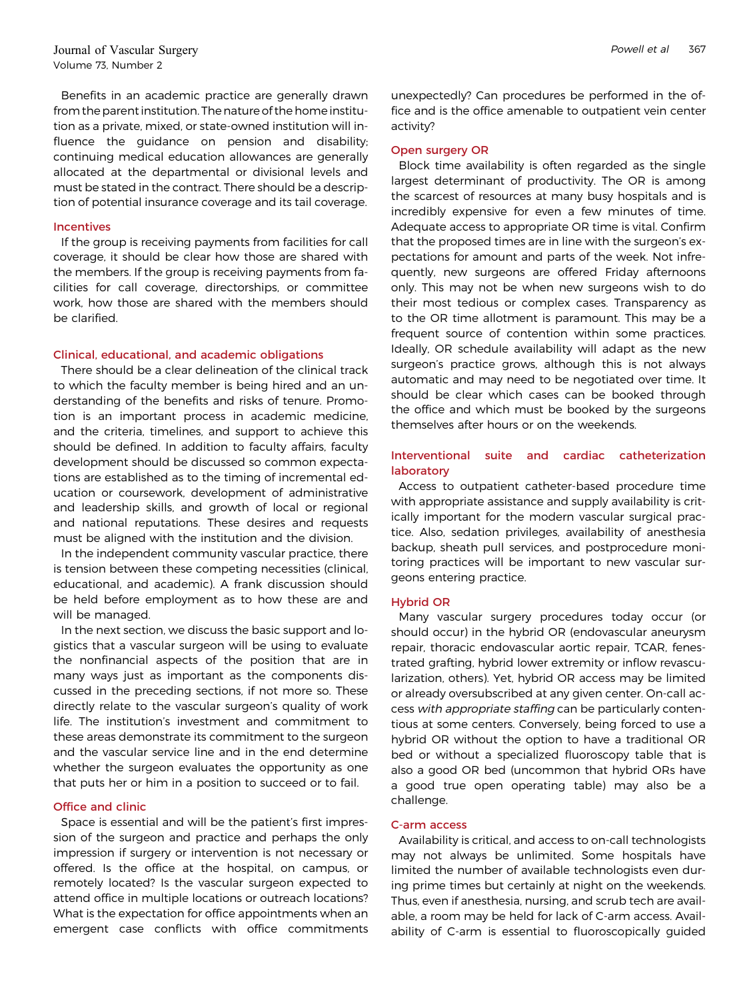Benefits in an academic practice are generally drawn from the parent institution. The nature of the home institution as a private, mixed, or state-owned institution will influence the guidance on pension and disability; continuing medical education allowances are generally allocated at the departmental or divisional levels and must be stated in the contract. There should be a description of potential insurance coverage and its tail coverage.

# Incentives

If the group is receiving payments from facilities for call coverage, it should be clear how those are shared with the members. If the group is receiving payments from facilities for call coverage, directorships, or committee work, how those are shared with the members should be clarified.

# Clinical, educational, and academic obligations

There should be a clear delineation of the clinical track to which the faculty member is being hired and an understanding of the benefits and risks of tenure. Promotion is an important process in academic medicine, and the criteria, timelines, and support to achieve this should be defined. In addition to faculty affairs, faculty development should be discussed so common expectations are established as to the timing of incremental education or coursework, development of administrative and leadership skills, and growth of local or regional and national reputations. These desires and requests must be aligned with the institution and the division.

In the independent community vascular practice, there is tension between these competing necessities (clinical, educational, and academic). A frank discussion should be held before employment as to how these are and will be managed.

In the next section, we discuss the basic support and logistics that a vascular surgeon will be using to evaluate the nonfinancial aspects of the position that are in many ways just as important as the components discussed in the preceding sections, if not more so. These directly relate to the vascular surgeon's quality of work life. The institution's investment and commitment to these areas demonstrate its commitment to the surgeon and the vascular service line and in the end determine whether the surgeon evaluates the opportunity as one that puts her or him in a position to succeed or to fail.

# Office and clinic

Space is essential and will be the patient's first impression of the surgeon and practice and perhaps the only impression if surgery or intervention is not necessary or offered. Is the office at the hospital, on campus, or remotely located? Is the vascular surgeon expected to attend office in multiple locations or outreach locations? What is the expectation for office appointments when an emergent case conflicts with office commitments unexpectedly? Can procedures be performed in the office and is the office amenable to outpatient vein center activity?

# Open surgery OR

Block time availability is often regarded as the single largest determinant of productivity. The OR is among the scarcest of resources at many busy hospitals and is incredibly expensive for even a few minutes of time. Adequate access to appropriate OR time is vital. Confirm that the proposed times are in line with the surgeon's expectations for amount and parts of the week. Not infrequently, new surgeons are offered Friday afternoons only. This may not be when new surgeons wish to do their most tedious or complex cases. Transparency as to the OR time allotment is paramount. This may be a frequent source of contention within some practices. Ideally, OR schedule availability will adapt as the new surgeon's practice grows, although this is not always automatic and may need to be negotiated over time. It should be clear which cases can be booked through the office and which must be booked by the surgeons themselves after hours or on the weekends.

# Interventional suite and cardiac catheterization laboratory

Access to outpatient catheter-based procedure time with appropriate assistance and supply availability is critically important for the modern vascular surgical practice. Also, sedation privileges, availability of anesthesia backup, sheath pull services, and postprocedure monitoring practices will be important to new vascular surgeons entering practice.

# Hybrid OR

Many vascular surgery procedures today occur (or should occur) in the hybrid OR (endovascular aneurysm repair, thoracic endovascular aortic repair, TCAR, fenestrated grafting, hybrid lower extremity or inflow revascularization, others). Yet, hybrid OR access may be limited or already oversubscribed at any given center. On-call access with appropriate staffing can be particularly contentious at some centers. Conversely, being forced to use a hybrid OR without the option to have a traditional OR bed or without a specialized fluoroscopy table that is also a good OR bed (uncommon that hybrid ORs have a good true open operating table) may also be a challenge.

# C-arm access

Availability is critical, and access to on-call technologists may not always be unlimited. Some hospitals have limited the number of available technologists even during prime times but certainly at night on the weekends. Thus, even if anesthesia, nursing, and scrub tech are available, a room may be held for lack of C-arm access. Availability of C-arm is essential to fluoroscopically guided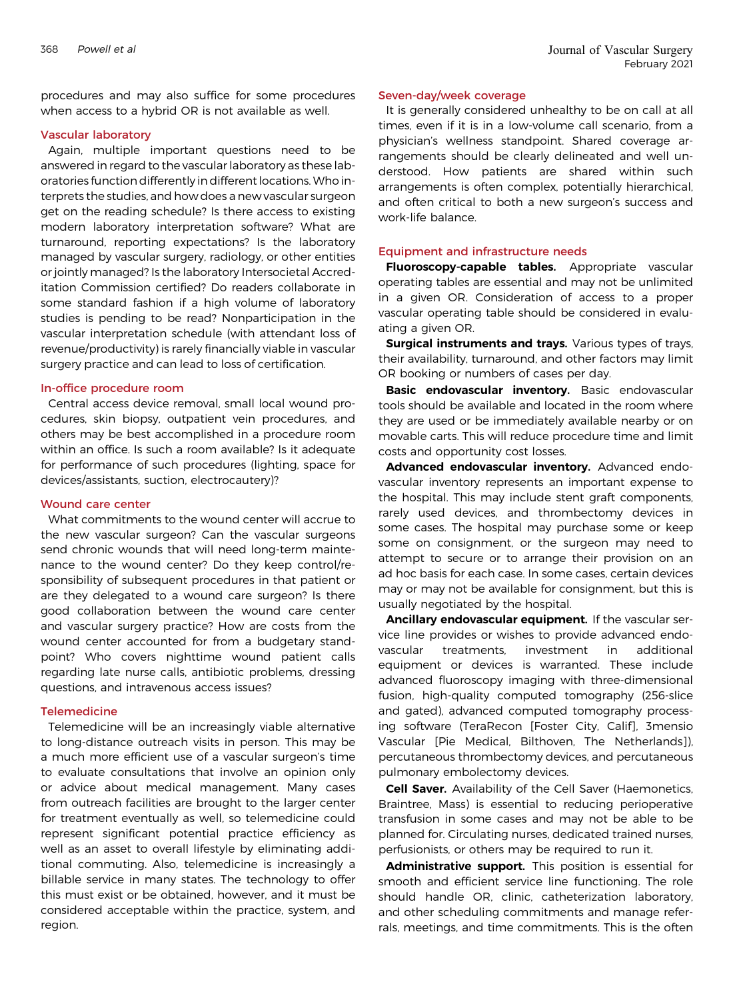procedures and may also suffice for some procedures when access to a hybrid OR is not available as well.

#### Vascular laboratory

Again, multiple important questions need to be answered in regard to the vascular laboratory as these laboratories function differently in different locations. Who interprets the studies, and how does a new vascular surgeon get on the reading schedule? Is there access to existing modern laboratory interpretation software? What are turnaround, reporting expectations? Is the laboratory managed by vascular surgery, radiology, or other entities or jointly managed? Is the laboratory Intersocietal Accreditation Commission certified? Do readers collaborate in some standard fashion if a high volume of laboratory studies is pending to be read? Nonparticipation in the vascular interpretation schedule (with attendant loss of revenue/productivity) is rarely financially viable in vascular surgery practice and can lead to loss of certification.

#### In-office procedure room

Central access device removal, small local wound procedures, skin biopsy, outpatient vein procedures, and others may be best accomplished in a procedure room within an office. Is such a room available? Is it adequate for performance of such procedures (lighting, space for devices/assistants, suction, electrocautery)?

#### Wound care center

What commitments to the wound center will accrue to the new vascular surgeon? Can the vascular surgeons send chronic wounds that will need long-term maintenance to the wound center? Do they keep control/responsibility of subsequent procedures in that patient or are they delegated to a wound care surgeon? Is there good collaboration between the wound care center and vascular surgery practice? How are costs from the wound center accounted for from a budgetary standpoint? Who covers nighttime wound patient calls regarding late nurse calls, antibiotic problems, dressing questions, and intravenous access issues?

## **Telemedicine**

Telemedicine will be an increasingly viable alternative to long-distance outreach visits in person. This may be a much more efficient use of a vascular surgeon's time to evaluate consultations that involve an opinion only or advice about medical management. Many cases from outreach facilities are brought to the larger center for treatment eventually as well, so telemedicine could represent significant potential practice efficiency as well as an asset to overall lifestyle by eliminating additional commuting. Also, telemedicine is increasingly a billable service in many states. The technology to offer this must exist or be obtained, however, and it must be considered acceptable within the practice, system, and region.

## Seven-day/week coverage

It is generally considered unhealthy to be on call at all times, even if it is in a low-volume call scenario, from a physician's wellness standpoint. Shared coverage arrangements should be clearly delineated and well understood. How patients are shared within such arrangements is often complex, potentially hierarchical, and often critical to both a new surgeon's success and work-life balance.

#### Equipment and infrastructure needs

Fluoroscopy-capable tables. Appropriate vascular operating tables are essential and may not be unlimited in a given OR. Consideration of access to a proper vascular operating table should be considered in evaluating a given OR.

**Surgical instruments and trays.** Various types of trays, their availability, turnaround, and other factors may limit OR booking or numbers of cases per day.

Basic endovascular inventory. Basic endovascular tools should be available and located in the room where they are used or be immediately available nearby or on movable carts. This will reduce procedure time and limit costs and opportunity cost losses.

Advanced endovascular inventory. Advanced endovascular inventory represents an important expense to the hospital. This may include stent graft components, rarely used devices, and thrombectomy devices in some cases. The hospital may purchase some or keep some on consignment, or the surgeon may need to attempt to secure or to arrange their provision on an ad hoc basis for each case. In some cases, certain devices may or may not be available for consignment, but this is usually negotiated by the hospital.

Ancillary endovascular equipment. If the vascular service line provides or wishes to provide advanced endovascular treatments, investment in additional equipment or devices is warranted. These include advanced fluoroscopy imaging with three-dimensional fusion, high-quality computed tomography (256-slice and gated), advanced computed tomography processing software (TeraRecon [Foster City, Calif], 3mensio Vascular [Pie Medical, Bilthoven, The Netherlands]), percutaneous thrombectomy devices, and percutaneous pulmonary embolectomy devices.

**Cell Saver.** Availability of the Cell Saver (Haemonetics, Braintree, Mass) is essential to reducing perioperative transfusion in some cases and may not be able to be planned for. Circulating nurses, dedicated trained nurses, perfusionists, or others may be required to run it.

Administrative support. This position is essential for smooth and efficient service line functioning. The role should handle OR, clinic, catheterization laboratory, and other scheduling commitments and manage referrals, meetings, and time commitments. This is the often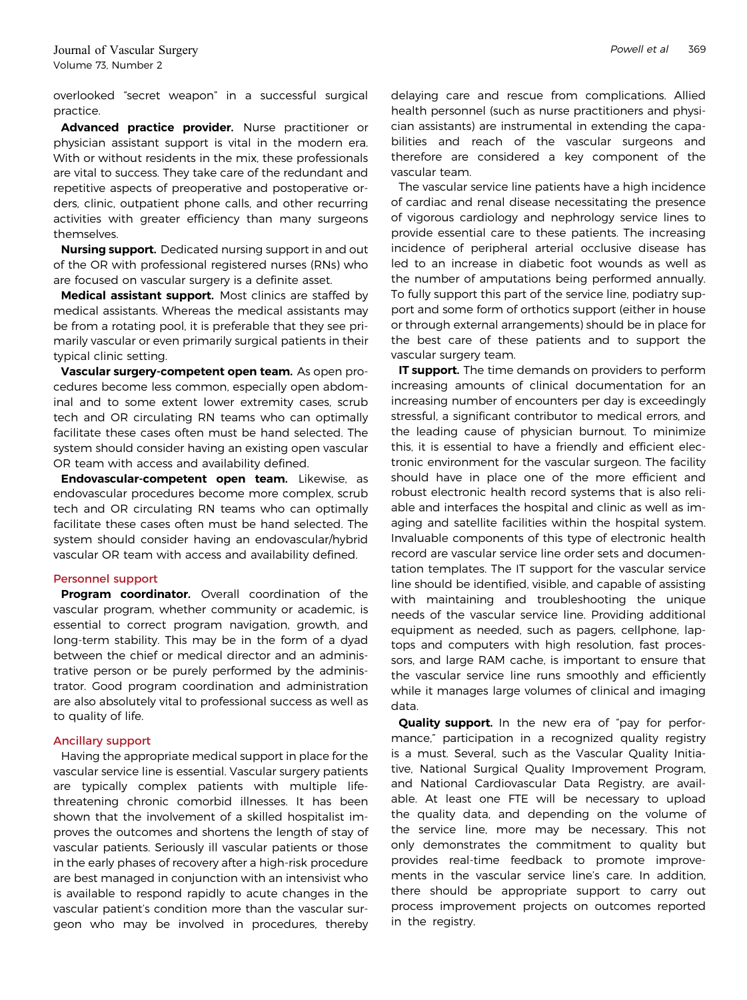overlooked "secret weapon" in a successful surgical practice.

Advanced practice provider. Nurse practitioner or physician assistant support is vital in the modern era. With or without residents in the mix, these professionals are vital to success. They take care of the redundant and repetitive aspects of preoperative and postoperative orders, clinic, outpatient phone calls, and other recurring activities with greater efficiency than many surgeons themselves.

Nursing support. Dedicated nursing support in and out of the OR with professional registered nurses (RNs) who are focused on vascular surgery is a definite asset.

Medical assistant support. Most clinics are staffed by medical assistants. Whereas the medical assistants may be from a rotating pool, it is preferable that they see primarily vascular or even primarily surgical patients in their typical clinic setting.

Vascular surgery-competent open team. As open procedures become less common, especially open abdominal and to some extent lower extremity cases, scrub tech and OR circulating RN teams who can optimally facilitate these cases often must be hand selected. The system should consider having an existing open vascular OR team with access and availability defined.

Endovascular-competent open team. Likewise, as endovascular procedures become more complex, scrub tech and OR circulating RN teams who can optimally facilitate these cases often must be hand selected. The system should consider having an endovascular/hybrid vascular OR team with access and availability defined.

#### Personnel support

Program coordinator. Overall coordination of the vascular program, whether community or academic, is essential to correct program navigation, growth, and long-term stability. This may be in the form of a dyad between the chief or medical director and an administrative person or be purely performed by the administrator. Good program coordination and administration are also absolutely vital to professional success as well as to quality of life.

#### Ancillary support

Having the appropriate medical support in place for the vascular service line is essential. Vascular surgery patients are typically complex patients with multiple lifethreatening chronic comorbid illnesses. It has been shown that the involvement of a skilled hospitalist improves the outcomes and shortens the length of stay of vascular patients. Seriously ill vascular patients or those in the early phases of recovery after a high-risk procedure are best managed in conjunction with an intensivist who is available to respond rapidly to acute changes in the vascular patient's condition more than the vascular surgeon who may be involved in procedures, thereby

delaying care and rescue from complications. Allied health personnel (such as nurse practitioners and physician assistants) are instrumental in extending the capabilities and reach of the vascular surgeons and therefore are considered a key component of the vascular team.

The vascular service line patients have a high incidence of cardiac and renal disease necessitating the presence of vigorous cardiology and nephrology service lines to provide essential care to these patients. The increasing incidence of peripheral arterial occlusive disease has led to an increase in diabetic foot wounds as well as the number of amputations being performed annually. To fully support this part of the service line, podiatry support and some form of orthotics support (either in house or through external arrangements) should be in place for the best care of these patients and to support the vascular surgery team.

IT support. The time demands on providers to perform increasing amounts of clinical documentation for an increasing number of encounters per day is exceedingly stressful, a significant contributor to medical errors, and the leading cause of physician burnout. To minimize this, it is essential to have a friendly and efficient electronic environment for the vascular surgeon. The facility should have in place one of the more efficient and robust electronic health record systems that is also reliable and interfaces the hospital and clinic as well as imaging and satellite facilities within the hospital system. Invaluable components of this type of electronic health record are vascular service line order sets and documentation templates. The IT support for the vascular service line should be identified, visible, and capable of assisting with maintaining and troubleshooting the unique needs of the vascular service line. Providing additional equipment as needed, such as pagers, cellphone, laptops and computers with high resolution, fast processors, and large RAM cache, is important to ensure that the vascular service line runs smoothly and efficiently while it manages large volumes of clinical and imaging data.

Quality support. In the new era of "pay for performance," participation in a recognized quality registry is a must. Several, such as the Vascular Quality Initiative, National Surgical Quality Improvement Program, and National Cardiovascular Data Registry, are available. At least one FTE will be necessary to upload the quality data, and depending on the volume of the service line, more may be necessary. This not only demonstrates the commitment to quality but provides real-time feedback to promote improvements in the vascular service line's care. In addition, there should be appropriate support to carry out process improvement projects on outcomes reported in the registry.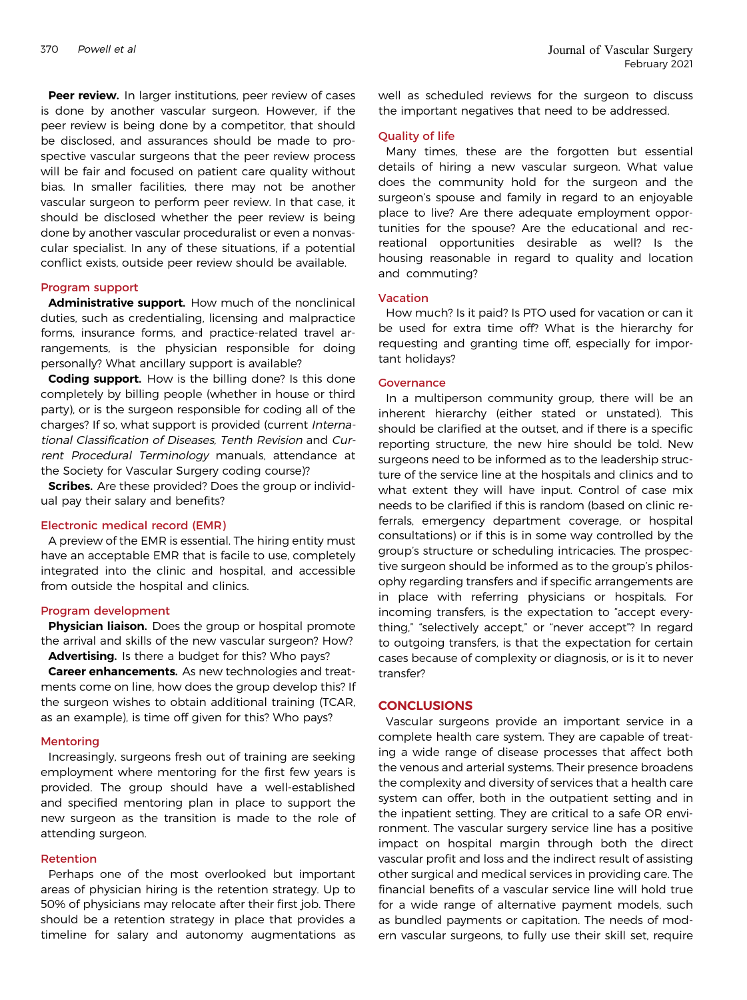Peer review. In larger institutions, peer review of cases is done by another vascular surgeon. However, if the peer review is being done by a competitor, that should be disclosed, and assurances should be made to prospective vascular surgeons that the peer review process will be fair and focused on patient care quality without bias. In smaller facilities, there may not be another vascular surgeon to perform peer review. In that case, it should be disclosed whether the peer review is being done by another vascular proceduralist or even a nonvascular specialist. In any of these situations, if a potential conflict exists, outside peer review should be available.

# Program support

Administrative support. How much of the nonclinical duties, such as credentialing, licensing and malpractice forms, insurance forms, and practice-related travel arrangements, is the physician responsible for doing personally? What ancillary support is available?

**Coding support.** How is the billing done? Is this done completely by billing people (whether in house or third party), or is the surgeon responsible for coding all of the charges? If so, what support is provided (current International Classification of Diseases, Tenth Revision and Current Procedural Terminology manuals, attendance at the Society for Vascular Surgery coding course)?

**Scribes.** Are these provided? Does the group or individual pay their salary and benefits?

#### Electronic medical record (EMR)

A preview of the EMR is essential. The hiring entity must have an acceptable EMR that is facile to use, completely integrated into the clinic and hospital, and accessible from outside the hospital and clinics.

#### Program development

**Physician liaison.** Does the group or hospital promote the arrival and skills of the new vascular surgeon? How? Advertising. Is there a budget for this? Who pays?

Career enhancements. As new technologies and treatments come on line, how does the group develop this? If the surgeon wishes to obtain additional training (TCAR, as an example), is time off given for this? Who pays?

## Mentoring

Increasingly, surgeons fresh out of training are seeking employment where mentoring for the first few years is provided. The group should have a well-established and specified mentoring plan in place to support the new surgeon as the transition is made to the role of attending surgeon.

## Retention

Perhaps one of the most overlooked but important areas of physician hiring is the retention strategy. Up to 50% of physicians may relocate after their first job. There should be a retention strategy in place that provides a timeline for salary and autonomy augmentations as

well as scheduled reviews for the surgeon to discuss the important negatives that need to be addressed.

#### Quality of life

Many times, these are the forgotten but essential details of hiring a new vascular surgeon. What value does the community hold for the surgeon and the surgeon's spouse and family in regard to an enjoyable place to live? Are there adequate employment opportunities for the spouse? Are the educational and recreational opportunities desirable as well? Is the housing reasonable in regard to quality and location and commuting?

#### Vacation

How much? Is it paid? Is PTO used for vacation or can it be used for extra time off? What is the hierarchy for requesting and granting time off, especially for important holidays?

# **Governance**

In a multiperson community group, there will be an inherent hierarchy (either stated or unstated). This should be clarified at the outset, and if there is a specific reporting structure, the new hire should be told. New surgeons need to be informed as to the leadership structure of the service line at the hospitals and clinics and to what extent they will have input. Control of case mix needs to be clarified if this is random (based on clinic referrals, emergency department coverage, or hospital consultations) or if this is in some way controlled by the group's structure or scheduling intricacies. The prospective surgeon should be informed as to the group's philosophy regarding transfers and if specific arrangements are in place with referring physicians or hospitals. For incoming transfers, is the expectation to "accept everything," "selectively accept," or "never accept"? In regard to outgoing transfers, is that the expectation for certain cases because of complexity or diagnosis, or is it to never transfer?

## **CONCLUSIONS**

Vascular surgeons provide an important service in a complete health care system. They are capable of treating a wide range of disease processes that affect both the venous and arterial systems. Their presence broadens the complexity and diversity of services that a health care system can offer, both in the outpatient setting and in the inpatient setting. They are critical to a safe OR environment. The vascular surgery service line has a positive impact on hospital margin through both the direct vascular profit and loss and the indirect result of assisting other surgical and medical services in providing care. The financial benefits of a vascular service line will hold true for a wide range of alternative payment models, such as bundled payments or capitation. The needs of modern vascular surgeons, to fully use their skill set, require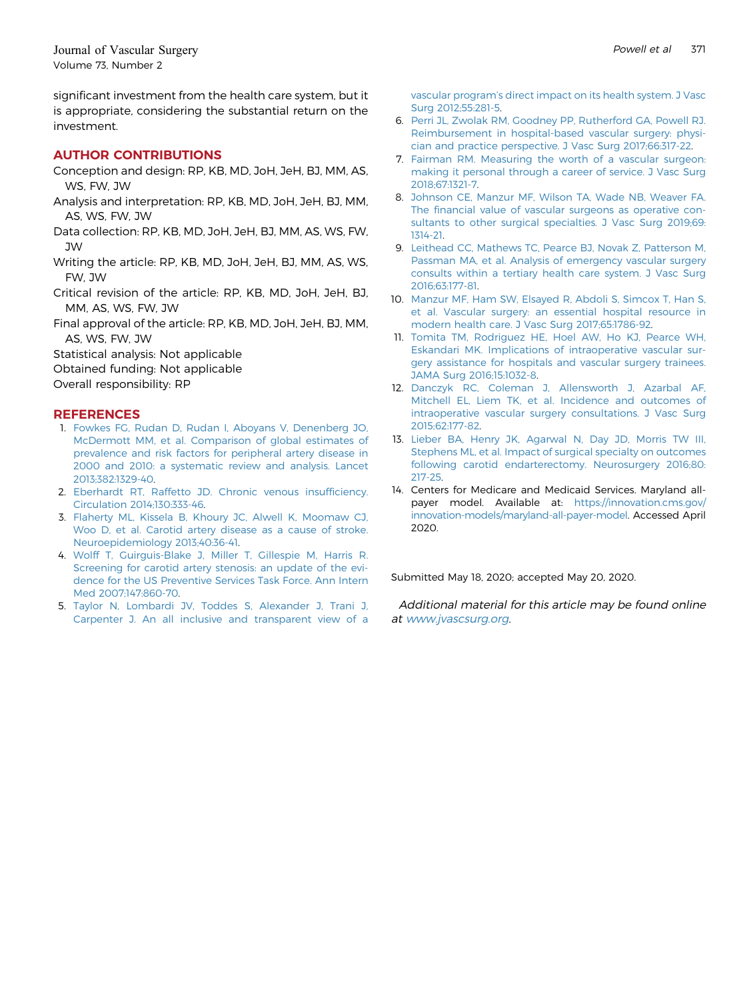significant investment from the health care system, but it is appropriate, considering the substantial return on the investment.

# AUTHOR CONTRIBUTIONS

- Conception and design: RP, KB, MD, JoH, JeH, BJ, MM, AS, WS, FW, JW
- Analysis and interpretation: RP, KB, MD, JoH, JeH, BJ, MM, AS, WS, FW, JW
- Data collection: RP, KB, MD, JoH, JeH, BJ, MM, AS, WS, FW, JW
- Writing the article: RP, KB, MD, JoH, JeH, BJ, MM, AS, WS, FW, JW
- Critical revision of the article: RP, KB, MD, JoH, JeH, BJ, MM, AS, WS, FW, JW
- Final approval of the article: RP, KB, MD, JoH, JeH, BJ, MM, AS, WS, FW, JW
- Statistical analysis: Not applicable
- Obtained funding: Not applicable
- Overall responsibility: RP

# **REFERENCES**

- <span id="page-12-0"></span>1. [Fowkes FG, Rudan D, Rudan I, Aboyans V, Denenberg JO,](http://refhub.elsevier.com/S0741-5214(20)31315-X/sref1) [McDermott MM, et al. Comparison of global estimates of](http://refhub.elsevier.com/S0741-5214(20)31315-X/sref1) [prevalence and risk factors for peripheral artery disease in](http://refhub.elsevier.com/S0741-5214(20)31315-X/sref1) [2000 and 2010: a systematic review and analysis. Lancet](http://refhub.elsevier.com/S0741-5214(20)31315-X/sref1) [2013;382:1329-40](http://refhub.elsevier.com/S0741-5214(20)31315-X/sref1).
- <span id="page-12-1"></span>2. [Eberhardt RT, Raffetto JD. Chronic venous insuf](http://refhub.elsevier.com/S0741-5214(20)31315-X/sref2)ficiency. [Circulation 2014;130:333-46](http://refhub.elsevier.com/S0741-5214(20)31315-X/sref2).
- <span id="page-12-2"></span>3. [Flaherty ML, Kissela B, Khoury JC, Alwell K, Moomaw CJ,](http://refhub.elsevier.com/S0741-5214(20)31315-X/sref3) [Woo D, et al. Carotid artery disease as a cause of stroke.](http://refhub.elsevier.com/S0741-5214(20)31315-X/sref3) [Neuroepidemiology 2013;40:36-41](http://refhub.elsevier.com/S0741-5214(20)31315-X/sref3).
- <span id="page-12-3"></span>4. [Wolff T, Guirguis-Blake J, Miller T, Gillespie M, Harris R.](http://refhub.elsevier.com/S0741-5214(20)31315-X/sref4) [Screening for carotid artery stenosis: an update of the evi](http://refhub.elsevier.com/S0741-5214(20)31315-X/sref4)[dence for the US Preventive Services Task Force. Ann Intern](http://refhub.elsevier.com/S0741-5214(20)31315-X/sref4) [Med 2007;147:860-70.](http://refhub.elsevier.com/S0741-5214(20)31315-X/sref4)
- <span id="page-12-4"></span>5. [Taylor N, Lombardi JV, Toddes S, Alexander J, Trani J,](http://refhub.elsevier.com/S0741-5214(20)31315-X/sref5) [Carpenter J. An all inclusive and transparent view of a](http://refhub.elsevier.com/S0741-5214(20)31315-X/sref5)

vascular program'[s direct impact on its health system. J Vasc](http://refhub.elsevier.com/S0741-5214(20)31315-X/sref5) [Surg 2012;55:281-5.](http://refhub.elsevier.com/S0741-5214(20)31315-X/sref5)

- <span id="page-12-5"></span>6. [Perri JL, Zwolak RM, Goodney PP, Rutherford GA, Powell RJ.](http://refhub.elsevier.com/S0741-5214(20)31315-X/sref6) [Reimbursement in hospital-based vascular surgery: physi](http://refhub.elsevier.com/S0741-5214(20)31315-X/sref6)[cian and practice perspective. J Vasc Surg 2017;66:317-22](http://refhub.elsevier.com/S0741-5214(20)31315-X/sref6).
- <span id="page-12-6"></span>7. [Fairman RM. Measuring the worth of a vascular surgeon:](http://refhub.elsevier.com/S0741-5214(20)31315-X/sref14) [making it personal through a career of service. J Vasc Surg](http://refhub.elsevier.com/S0741-5214(20)31315-X/sref14) [2018;67:1321-7.](http://refhub.elsevier.com/S0741-5214(20)31315-X/sref14)
- <span id="page-12-7"></span>8. [Johnson CE, Manzur MF, Wilson TA, Wade NB, Weaver FA.](http://refhub.elsevier.com/S0741-5214(20)31315-X/sref7) The fi[nancial value of vascular surgeons as operative con](http://refhub.elsevier.com/S0741-5214(20)31315-X/sref7)[sultants to other surgical specialties. J Vasc Surg 2019;69:](http://refhub.elsevier.com/S0741-5214(20)31315-X/sref7) [1314-21.](http://refhub.elsevier.com/S0741-5214(20)31315-X/sref7)
- 9. [Leithead CC, Mathews TC, Pearce BJ, Novak Z, Patterson M,](http://refhub.elsevier.com/S0741-5214(20)31315-X/sref8) [Passman MA, et al. Analysis of emergency vascular surgery](http://refhub.elsevier.com/S0741-5214(20)31315-X/sref8) [consults within a tertiary health care system. J Vasc Surg](http://refhub.elsevier.com/S0741-5214(20)31315-X/sref8) [2016;63:177-81.](http://refhub.elsevier.com/S0741-5214(20)31315-X/sref8)
- <span id="page-12-9"></span>10. [Manzur MF, Ham SW, Elsayed R, Abdoli S, Simcox T, Han S,](http://refhub.elsevier.com/S0741-5214(20)31315-X/sref9) [et al. Vascular surgery: an essential hospital resource in](http://refhub.elsevier.com/S0741-5214(20)31315-X/sref9) [modern health care. J Vasc Surg 2017;65:1786-92.](http://refhub.elsevier.com/S0741-5214(20)31315-X/sref9)
- 11. [Tomita TM, Rodriguez HE, Hoel AW, Ho KJ, Pearce WH,](http://refhub.elsevier.com/S0741-5214(20)31315-X/sref10) [Eskandari MK. Implications of intraoperative vascular sur](http://refhub.elsevier.com/S0741-5214(20)31315-X/sref10)[gery assistance for hospitals and vascular surgery trainees.](http://refhub.elsevier.com/S0741-5214(20)31315-X/sref10) [JAMA Surg 2016;15:1032-8](http://refhub.elsevier.com/S0741-5214(20)31315-X/sref10).
- <span id="page-12-8"></span>12. [Danczyk RC, Coleman J, Allensworth J, Azarbal AF,](http://refhub.elsevier.com/S0741-5214(20)31315-X/sref11) [Mitchell EL, Liem TK, et al. Incidence and outcomes of](http://refhub.elsevier.com/S0741-5214(20)31315-X/sref11) [intraoperative vascular surgery consultations. J Vasc Surg](http://refhub.elsevier.com/S0741-5214(20)31315-X/sref11) [2015;62:177-82.](http://refhub.elsevier.com/S0741-5214(20)31315-X/sref11)
- <span id="page-12-10"></span>13. [Lieber BA, Henry JK, Agarwal N, Day JD, Morris TW III,](http://refhub.elsevier.com/S0741-5214(20)31315-X/sref12) [Stephens ML, et al. Impact of surgical specialty on outcomes](http://refhub.elsevier.com/S0741-5214(20)31315-X/sref12) [following carotid endarterectomy. Neurosurgery 2016;80:](http://refhub.elsevier.com/S0741-5214(20)31315-X/sref12) [217-25.](http://refhub.elsevier.com/S0741-5214(20)31315-X/sref12)
- <span id="page-12-11"></span>14. Centers for Medicare and Medicaid Services. Maryland allpayer model. Available at: [https://innovation.cms.gov/](https://innovation.cms.gov/innovation-models/maryland-all-payer-model) [innovation-models/maryland-all-payer-model.](https://innovation.cms.gov/innovation-models/maryland-all-payer-model) Accessed April 2020.

Submitted May 18, 2020; accepted May 20, 2020.

Additional material for this article may be found online at [www.jvascsurg.org](http://www.jvascsurg.org).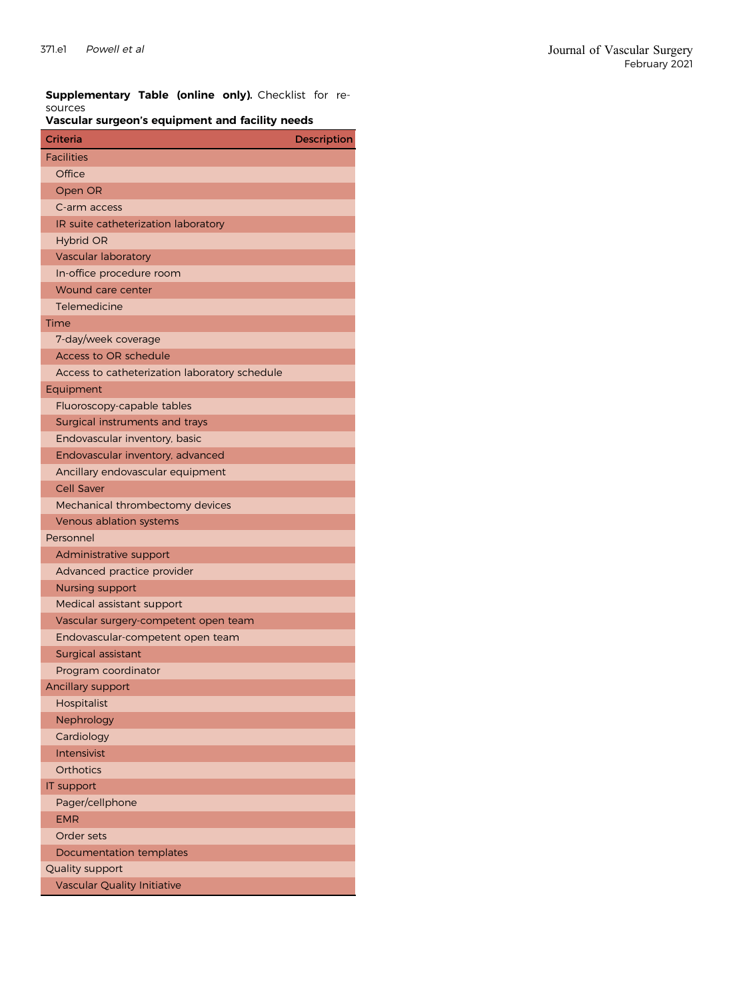<span id="page-13-0"></span>Supplementary Table (online only). Checklist for resources

# Vascular surgeon's equipment and facility needs

| Criteria                                      | <b>Description</b> |
|-----------------------------------------------|--------------------|
| <b>Facilities</b>                             |                    |
| Office                                        |                    |
| Open OR                                       |                    |
| C-arm access                                  |                    |
| IR suite catheterization laboratory           |                    |
| <b>Hybrid OR</b>                              |                    |
| <b>Vascular laboratory</b>                    |                    |
| In-office procedure room                      |                    |
| Wound care center                             |                    |
| Telemedicine                                  |                    |
| Time                                          |                    |
| 7-day/week coverage                           |                    |
| <b>Access to OR schedule</b>                  |                    |
| Access to catheterization laboratory schedule |                    |
| Equipment                                     |                    |
| Fluoroscopy-capable tables                    |                    |
| Surgical instruments and trays                |                    |
| Endovascular inventory, basic                 |                    |
| Endovascular inventory, advanced              |                    |
| Ancillary endovascular equipment              |                    |
| <b>Cell Saver</b>                             |                    |
| Mechanical thrombectomy devices               |                    |
| Venous ablation systems                       |                    |
| Personnel                                     |                    |
| Administrative support                        |                    |
| Advanced practice provider                    |                    |
| <b>Nursing support</b>                        |                    |
| Medical assistant support                     |                    |
| Vascular surgery-competent open team          |                    |
| Endovascular-competent open team              |                    |
| Surgical assistant                            |                    |
| Program coordinator                           |                    |
| Ancillary support                             |                    |
| Hospitalist                                   |                    |
| Nephrology                                    |                    |
| Cardiology                                    |                    |
| Intensivist                                   |                    |
| <b>Orthotics</b>                              |                    |
| IT support                                    |                    |
| Pager/cellphone                               |                    |
| <b>EMR</b>                                    |                    |
| Order sets                                    |                    |
| Documentation templates                       |                    |
| Quality support                               |                    |
| <b>Vascular Quality Initiative</b>            |                    |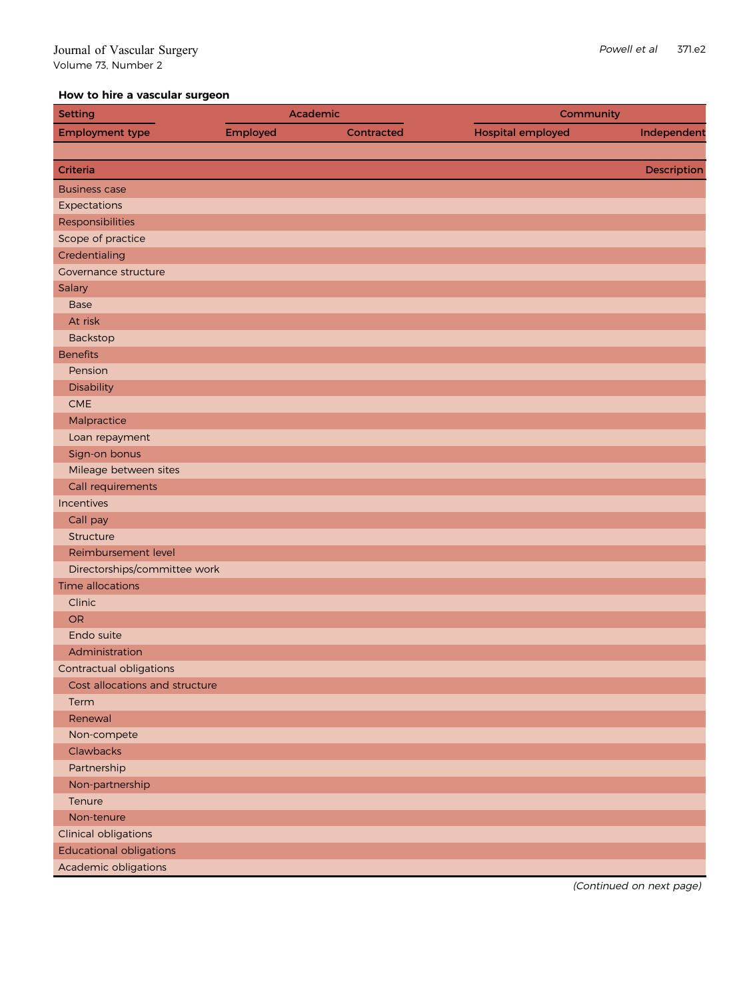# How to hire a vascular surgeon

| <b>Setting</b>                 |          | Academic   | Community                |             |
|--------------------------------|----------|------------|--------------------------|-------------|
| <b>Employment type</b>         | Employed | Contracted | <b>Hospital employed</b> | Independent |
|                                |          |            |                          |             |
| Criteria                       |          |            |                          | Description |
| <b>Business case</b>           |          |            |                          |             |
| Expectations                   |          |            |                          |             |
| Responsibilities               |          |            |                          |             |
| Scope of practice              |          |            |                          |             |
| Credentialing                  |          |            |                          |             |
| <b>Governance structure</b>    |          |            |                          |             |
| Salary                         |          |            |                          |             |
| <b>Base</b>                    |          |            |                          |             |
| At risk                        |          |            |                          |             |
| Backstop                       |          |            |                          |             |
| <b>Benefits</b>                |          |            |                          |             |
| Pension                        |          |            |                          |             |
| Disability                     |          |            |                          |             |
| CME                            |          |            |                          |             |
| Malpractice                    |          |            |                          |             |
| Loan repayment                 |          |            |                          |             |
| Sign-on bonus                  |          |            |                          |             |
| Mileage between sites          |          |            |                          |             |
| Call requirements              |          |            |                          |             |
| Incentives                     |          |            |                          |             |
| Call pay                       |          |            |                          |             |
| Structure                      |          |            |                          |             |
| Reimbursement level            |          |            |                          |             |
| Directorships/committee work   |          |            |                          |             |
| Time allocations               |          |            |                          |             |
| Clinic                         |          |            |                          |             |
| <b>OR</b>                      |          |            |                          |             |
| Endo suite                     |          |            |                          |             |
| Administration                 |          |            |                          |             |
| Contractual obligations        |          |            |                          |             |
| Cost allocations and structure |          |            |                          |             |
| Term                           |          |            |                          |             |
| Renewal                        |          |            |                          |             |
| Non-compete                    |          |            |                          |             |
| Clawbacks                      |          |            |                          |             |
| Partnership                    |          |            |                          |             |
| Non-partnership                |          |            |                          |             |
| Tenure                         |          |            |                          |             |
| Non-tenure                     |          |            |                          |             |
| <b>Clinical obligations</b>    |          |            |                          |             |
| <b>Educational obligations</b> |          |            |                          |             |
| Academic obligations           |          |            |                          |             |

(Continued on next page)